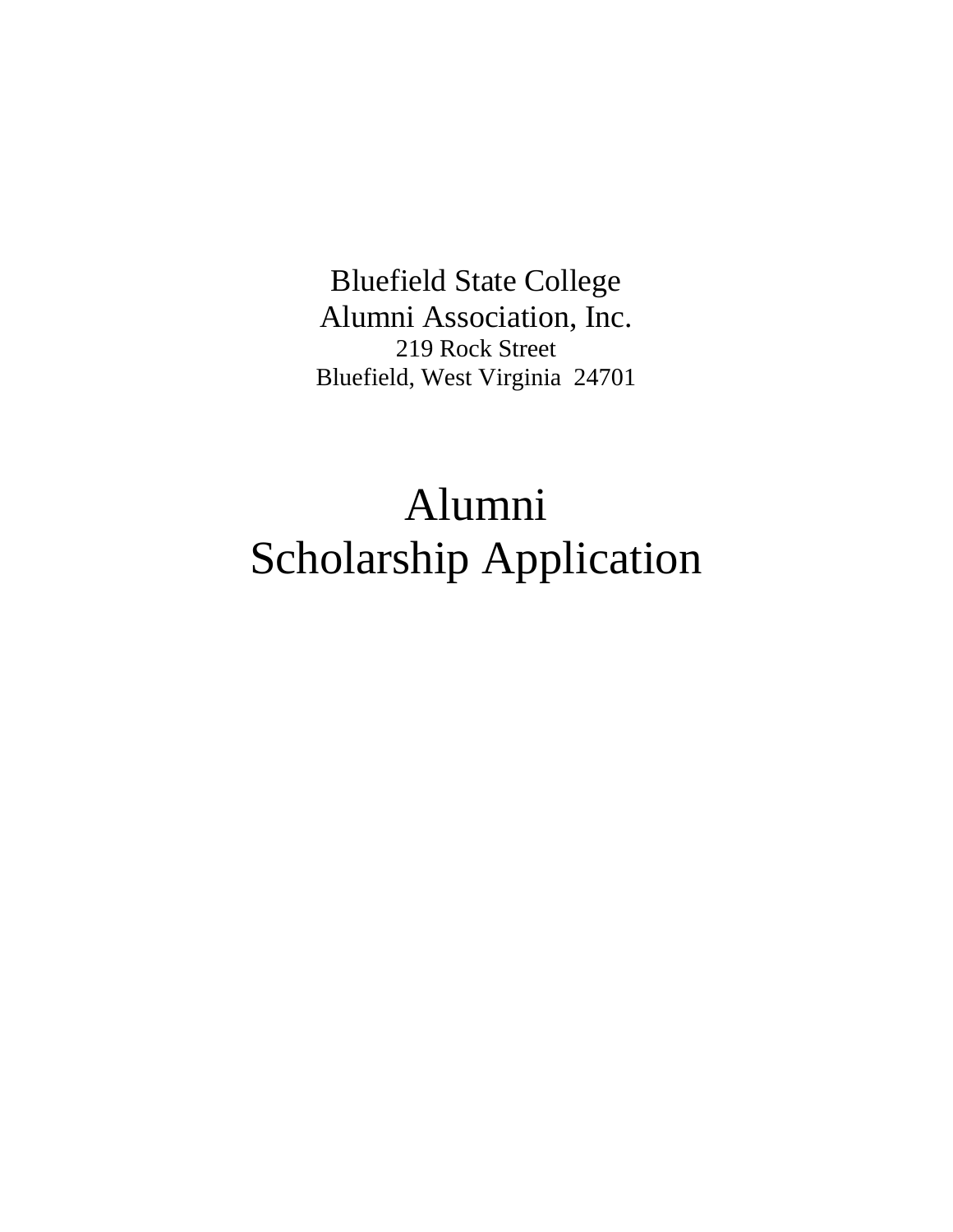Bluefield State College Alumni Association, Inc. 219 Rock Street Bluefield, West Virginia 24701

## Alumni Scholarship Application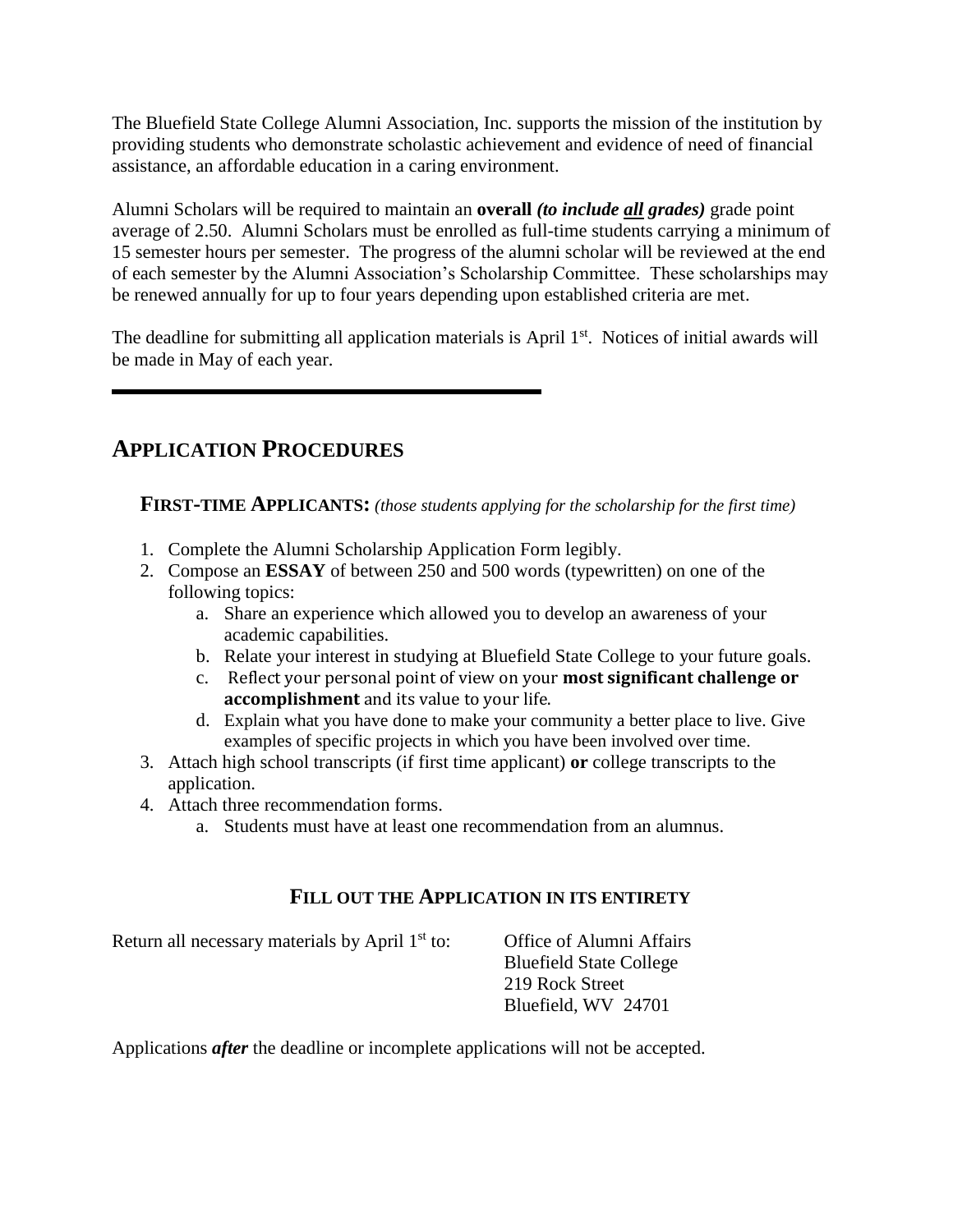The Bluefield State College Alumni Association, Inc. supports the mission of the institution by providing students who demonstrate scholastic achievement and evidence of need of financial assistance, an affordable education in a caring environment.

Alumni Scholars will be required to maintain an **overall** *(to include all grades)* grade point average of 2.50. Alumni Scholars must be enrolled as full-time students carrying a minimum of 15 semester hours per semester. The progress of the alumni scholar will be reviewed at the end of each semester by the Alumni Association's Scholarship Committee. These scholarships may be renewed annually for up to four years depending upon established criteria are met.

The deadline for submitting all application materials is April 1<sup>st</sup>. Notices of initial awards will be made in May of each year.

## **APPLICATION PROCEDURES**

**FIRST-TIME APPLICANTS:** *(those students applying for the scholarship for the first time)*

- 1. Complete the Alumni Scholarship Application Form legibly.
- 2. Compose an **ESSAY** of between 250 and 500 words (typewritten) on one of the following topics:
	- a. Share an experience which allowed you to develop an awareness of your academic capabilities.
	- b. Relate your interest in studying at Bluefield State College to your future goals.
	- c. Reflect your personal point of view on your **most significant challenge or accomplishment** and its value to your life.
	- d. Explain what you have done to make your community a better place to live. Give examples of specific projects in which you have been involved over time.
- 3. Attach high school transcripts (if first time applicant) **or** college transcripts to the application.
- 4. Attach three recommendation forms.
	- a. Students must have at least one recommendation from an alumnus.

## **FILL OUT THE APPLICATION IN ITS ENTIRETY**

Return all necessary materials by April 1<sup>st</sup> to:

Office of Alumni Affairs Bluefield State College 219 Rock Street Bluefield, WV 24701

Applications *after* the deadline or incomplete applications will not be accepted.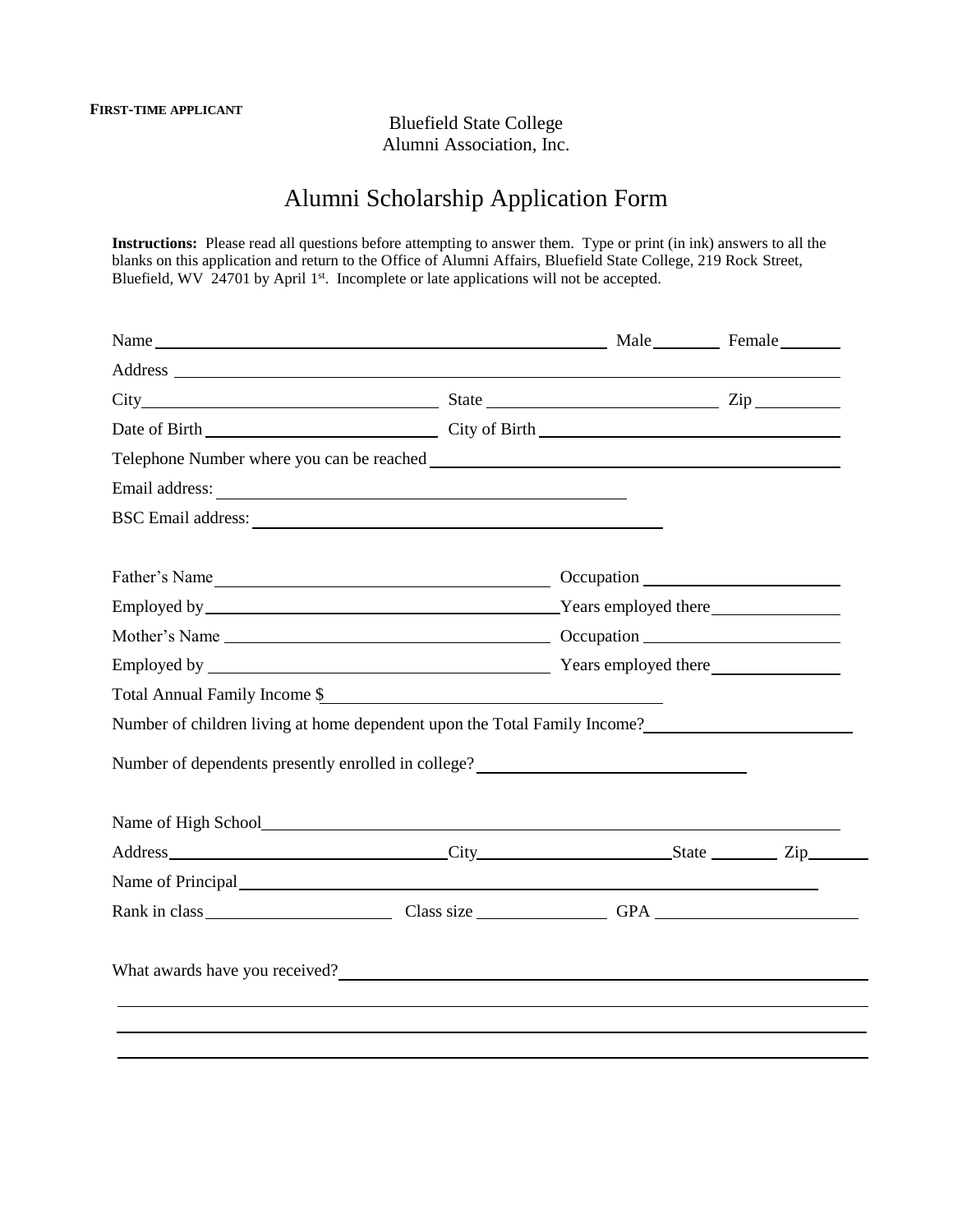Bluefield State College Alumni Association, Inc.

## Alumni Scholarship Application Form

**Instructions:** Please read all questions before attempting to answer them. Type or print (in ink) answers to all the blanks on this application and return to the Office of Alumni Affairs, Bluefield State College, 219 Rock Street, Bluefield, WV 24701 by April 1<sup>st</sup>. Incomplete or late applications will not be accepted.

| Name <u> Solution and the set of the set of the set of the set of the set of the set of the set of the set of the set of the set of the set of the set of the set of the set of the set of the set of the set of the set of the</u> |  |  |
|-------------------------------------------------------------------------------------------------------------------------------------------------------------------------------------------------------------------------------------|--|--|
| Address and the contract of the contract of the contract of the contract of the contract of the contract of the contract of the contract of the contract of the contract of the contract of the contract of the contract of th      |  |  |
| $City$ $Zip$                                                                                                                                                                                                                        |  |  |
| Date of Birth City of Birth City of Birth                                                                                                                                                                                           |  |  |
|                                                                                                                                                                                                                                     |  |  |
|                                                                                                                                                                                                                                     |  |  |
|                                                                                                                                                                                                                                     |  |  |
| Father's Name Campaign Contains a Comparison Comparison Comparison Comparison Comparison Comparison Comparison Comparison Comparison Comparison Comparison Comparison Comparison Comparison Comparison Comparison Comparison C      |  |  |
|                                                                                                                                                                                                                                     |  |  |
|                                                                                                                                                                                                                                     |  |  |
|                                                                                                                                                                                                                                     |  |  |
| Total Annual Family Income \$                                                                                                                                                                                                       |  |  |
| Number of children living at home dependent upon the Total Family Income?                                                                                                                                                           |  |  |
| Number of dependents presently enrolled in college?<br><u>Letter and the set of dependents</u> presently enrolled in college?                                                                                                       |  |  |
|                                                                                                                                                                                                                                     |  |  |
|                                                                                                                                                                                                                                     |  |  |
| Name of Principal example and the contract of Principal example and the contract of Principal example and the contract of the contract of the contract of the contract of the contract of the contract of the contract of the       |  |  |
|                                                                                                                                                                                                                                     |  |  |
|                                                                                                                                                                                                                                     |  |  |
|                                                                                                                                                                                                                                     |  |  |
|                                                                                                                                                                                                                                     |  |  |
|                                                                                                                                                                                                                                     |  |  |
|                                                                                                                                                                                                                                     |  |  |